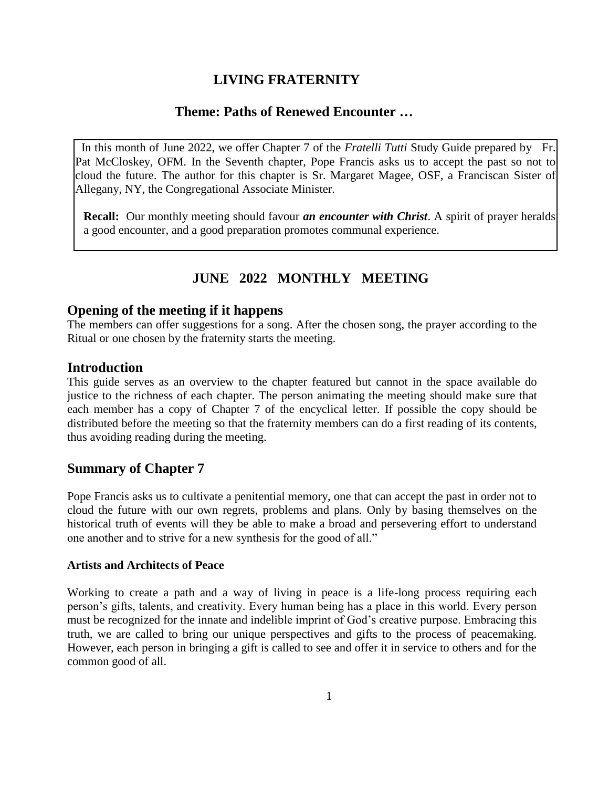# **LIVING FRATERNITY**

# **Theme: Paths of Renewed Encounter …**

 In this month of June 2022, we offer Chapter 7 of the *Fratelli Tutti* Study Guide prepared by Fr. Pat McCloskey, OFM. In the Seventh chapter, Pope Francis asks us to accept the past so not to cloud the future. The author for this chapter is Sr. Margaret Magee, OSF, a Franciscan Sister of Allegany, NY, the Congregational Associate Minister.

**Recall:** Our monthly meeting should favour *an encounter with Christ*. A spirit of prayer heralds a good encounter, and a good preparation promotes communal experience.

# **JUNE 2022 MONTHLY MEETING**

#### **Opening of the meeting if it happens**

The members can offer suggestions for a song. After the chosen song, the prayer according to the Ritual or one chosen by the fraternity starts the meeting.

# **Introduction**

This guide serves as an overview to the chapter featured but cannot in the space available do justice to the richness of each chapter. The person animating the meeting should make sure that each member has a copy of Chapter 7 of the encyclical letter. If possible the copy should be distributed before the meeting so that the fraternity members can do a first reading of its contents, thus avoiding reading during the meeting.

# **Summary of Chapter 7**

Pope Francis asks us to cultivate a penitential memory, one that can accept the past in order not to cloud the future with our own regrets, problems and plans. Only by basing themselves on the historical truth of events will they be able to make a broad and persevering effort to understand one another and to strive for a new synthesis for the good of all."

#### **Artists and Architects of Peace**

Working to create a path and a way of living in peace is a life-long process requiring each person's gifts, talents, and creativity. Every human being has a place in this world. Every person must be recognized for the innate and indelible imprint of God's creative purpose. Embracing this truth, we are called to bring our unique perspectives and gifts to the process of peacemaking. However, each person in bringing a gift is called to see and offer it in service to others and for the common good of all.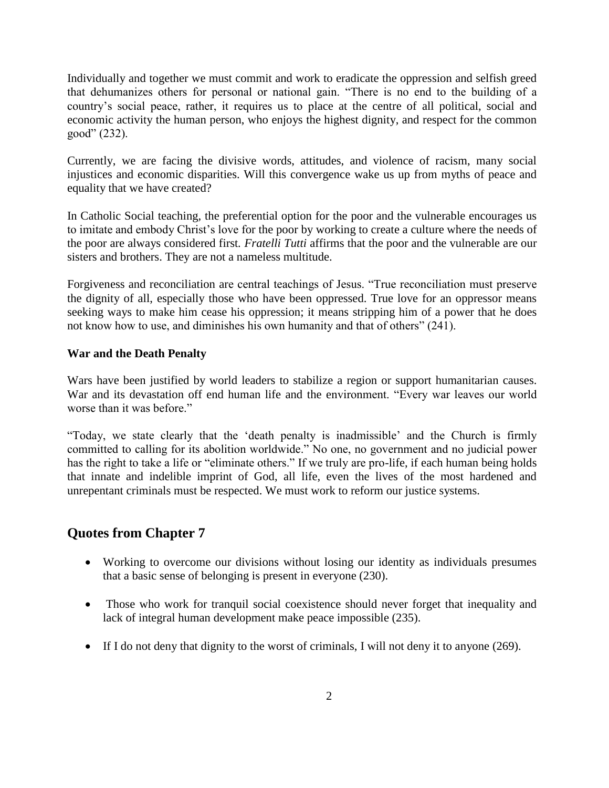Individually and together we must commit and work to eradicate the oppression and selfish greed that dehumanizes others for personal or national gain. "There is no end to the building of a country's social peace, rather, it requires us to place at the centre of all political, social and economic activity the human person, who enjoys the highest dignity, and respect for the common good" (232).

Currently, we are facing the divisive words, attitudes, and violence of racism, many social injustices and economic disparities. Will this convergence wake us up from myths of peace and equality that we have created?

In Catholic Social teaching, the preferential option for the poor and the vulnerable encourages us to imitate and embody Christ's love for the poor by working to create a culture where the needs of the poor are always considered first*. Fratelli Tutti* affirms that the poor and the vulnerable are our sisters and brothers. They are not a nameless multitude.

Forgiveness and reconciliation are central teachings of Jesus. "True reconciliation must preserve the dignity of all, especially those who have been oppressed. True love for an oppressor means seeking ways to make him cease his oppression; it means stripping him of a power that he does not know how to use, and diminishes his own humanity and that of others" (241).

#### **War and the Death Penalty**

Wars have been justified by world leaders to stabilize a region or support humanitarian causes. War and its devastation off end human life and the environment. "Every war leaves our world worse than it was before."

"Today, we state clearly that the 'death penalty is inadmissible' and the Church is firmly committed to calling for its abolition worldwide." No one, no government and no judicial power has the right to take a life or "eliminate others." If we truly are pro-life, if each human being holds that innate and indelible imprint of God, all life, even the lives of the most hardened and unrepentant criminals must be respected. We must work to reform our justice systems.

# **Quotes from Chapter 7**

- Working to overcome our divisions without losing our identity as individuals presumes that a basic sense of belonging is present in everyone (230).
- Those who work for tranquil social coexistence should never forget that inequality and lack of integral human development make peace impossible (235).
- If I do not deny that dignity to the worst of criminals, I will not deny it to anyone (269).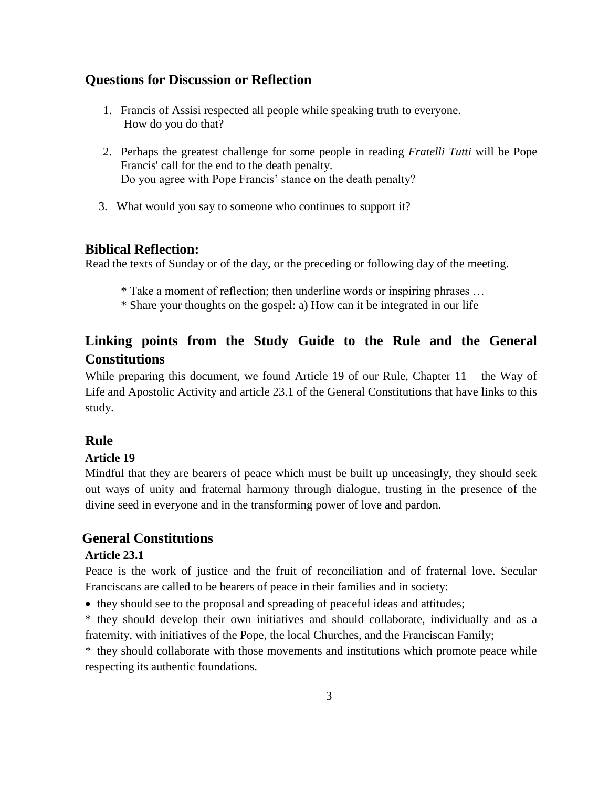### **Questions for Discussion or Reflection**

- 1. Francis of Assisi respected all people while speaking truth to everyone. How do you do that?
- 2. Perhaps the greatest challenge for some people in reading *Fratelli Tutti* will be Pope Francis' call for the end to the death penalty. Do you agree with Pope Francis' stance on the death penalty?
- 3. What would you say to someone who continues to support it?

#### **Biblical Reflection:**

Read the texts of Sunday or of the day, or the preceding or following day of the meeting.

- \* Take a moment of reflection; then underline words or inspiring phrases …
- \* Share your thoughts on the gospel: a) How can it be integrated in our life

# **Linking points from the Study Guide to the Rule and the General Constitutions**

While preparing this document, we found Article 19 of our Rule, Chapter 11 – the Way of Life and Apostolic Activity and article 23.1 of the General Constitutions that have links to this study.

# **Rule**

#### **Article 19**

 Mindful that they are bearers of peace which must be built up unceasingly, they should seek out ways of unity and fraternal harmony through dialogue, trusting in the presence of the divine seed in everyone and in the transforming power of love and pardon.

# **General Constitutions**

#### **Article 23.1**

Peace is the work of justice and the fruit of reconciliation and of fraternal love. Secular Franciscans are called to be bearers of peace in their families and in society:

they should see to the proposal and spreading of peaceful ideas and attitudes;

\* they should develop their own initiatives and should collaborate, individually and as a fraternity, with initiatives of the Pope, the local Churches, and the Franciscan Family;

\* they should collaborate with those movements and institutions which promote peace while respecting its authentic foundations.